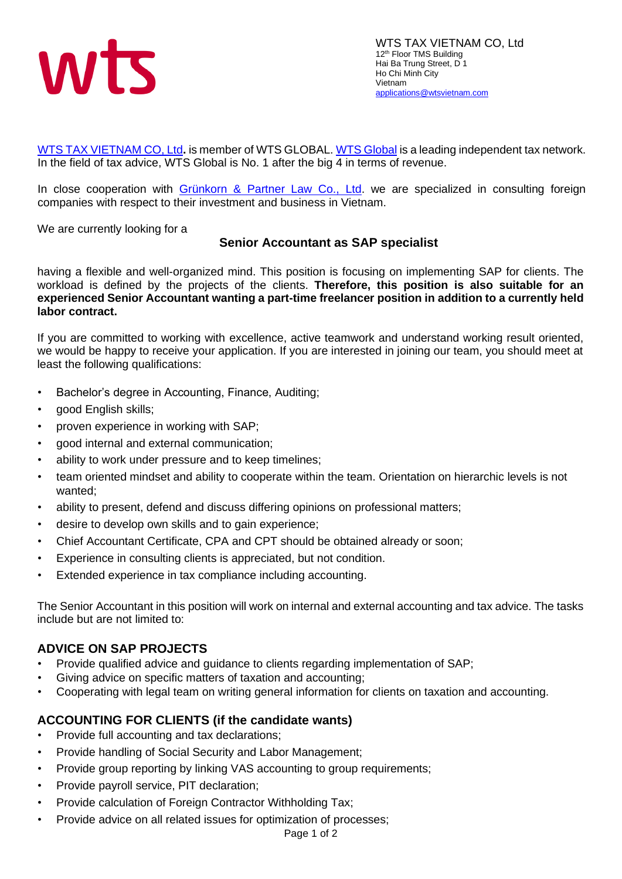

[WTS TAX VIETNAM](http://wtsvietnam.com/en/) CO, Ltd**.** is member of WTS GLOBAL[. WTS Global](https://www.wts.com/global/wts-global) is a leading independent tax network. In the field of tax advice, WTS Global is No. 1 after the big 4 in terms of revenue.

In close cooperation with [Grünkorn & Partner Law Co., Ltd.](http://lawyer-vietnam.com/en/home/) we are specialized in consulting foreign companies with respect to their investment and business in Vietnam.

We are currently looking for a

## **Senior Accountant as SAP specialist**

having a flexible and well-organized mind. This position is focusing on implementing SAP for clients. The workload is defined by the projects of the clients. **Therefore, this position is also suitable for an experienced Senior Accountant wanting a part-time freelancer position in addition to a currently held labor contract.**

If you are committed to working with excellence, active teamwork and understand working result oriented, we would be happy to receive your application. If you are interested in joining our team, you should meet at least the following qualifications:

- Bachelor's degree in Accounting, Finance, Auditing;
- good English skills;
- proven experience in working with SAP;
- good internal and external communication;
- ability to work under pressure and to keep timelines;
- team oriented mindset and ability to cooperate within the team. Orientation on hierarchic levels is not wanted;
- ability to present, defend and discuss differing opinions on professional matters;
- desire to develop own skills and to gain experience;
- Chief Accountant Certificate, CPA and CPT should be obtained already or soon;
- Experience in consulting clients is appreciated, but not condition.
- Extended experience in tax compliance including accounting.

The Senior Accountant in this position will work on internal and external accounting and tax advice. The tasks include but are not limited to:

## **ADVICE ON SAP PROJECTS**

- Provide qualified advice and guidance to clients regarding implementation of SAP;
- Giving advice on specific matters of taxation and accounting;
- Cooperating with legal team on writing general information for clients on taxation and accounting.

## **ACCOUNTING FOR CLIENTS (if the candidate wants)**

- Provide full accounting and tax declarations;
- Provide handling of Social Security and Labor Management;
- Provide group reporting by linking VAS accounting to group requirements;
- Provide payroll service, PIT declaration;
- Provide calculation of Foreign Contractor Withholding Tax;
- Provide advice on all related issues for optimization of processes;